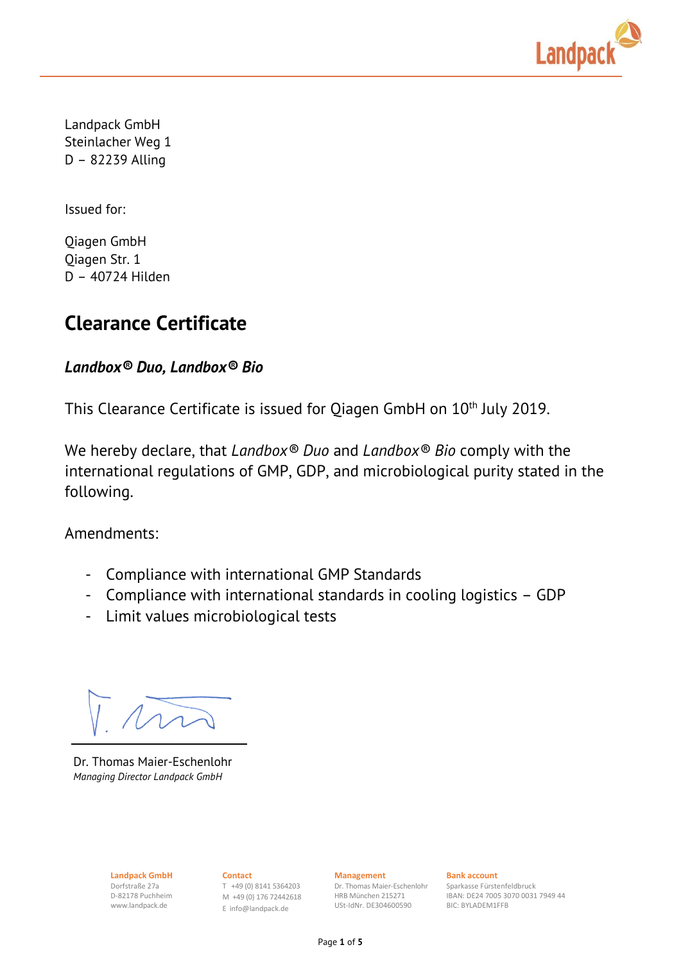

Landpack GmbH Steinlacher Weg 1 D – 82239 Alling

Issued for:

Qiagen GmbH Qiagen Str. 1 D – 40724 Hilden

# **Clearance Certificate**

## *Landbox® Duo, Landbox® Bio*

This Clearance Certificate is issued for Qiagen GmbH on 10<sup>th</sup> July 2019.

We hereby declare, that *Landbox® Duo* and *Landbox® Bio* comply with the international regulations of GMP, GDP, and microbiological purity stated in the following.

Amendments:

- Compliance with international GMP Standards
- Compliance with international standards in cooling logistics GDP
- Limit values microbiological tests

Dr. Thomas Maier-Eschenlohr *Managing Director Landpack GmbH*

Dorfstraße 27a D-82178 Puchheim www.landpack.de

**Landpack GmbH Contact Contact Management Bank account** T +49 (0) 8141 5364203 M +49 (0) 176 72442618 E [info@landpack.de](mailto:info@landpack.de)

Dr. Thomas Maier-Eschenlohr HRB München 215271 USt-IdNr. DE304600590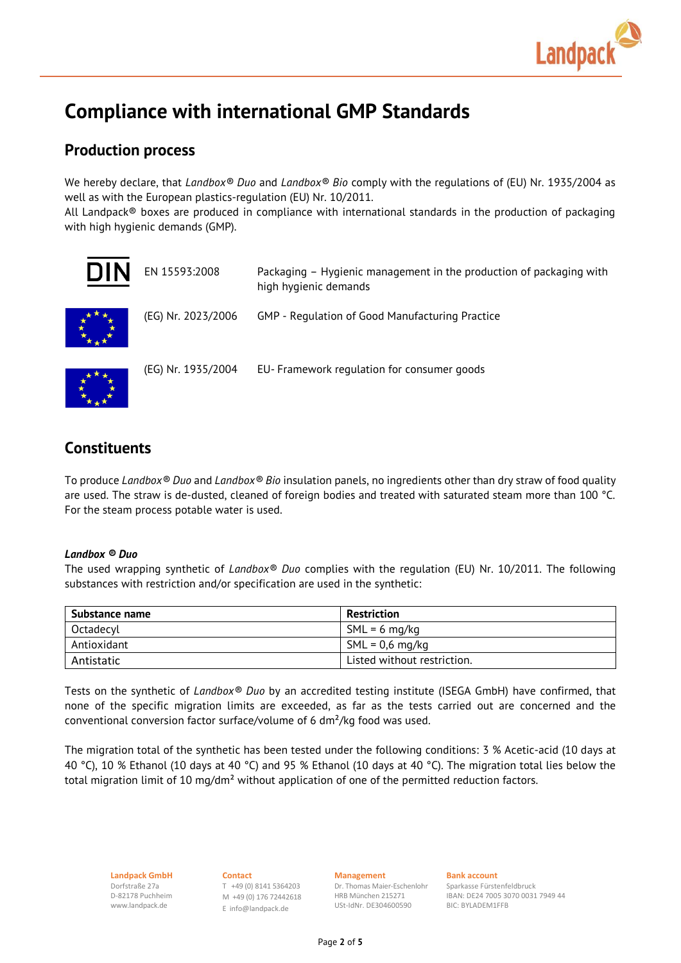

# **Compliance with international GMP Standards**

## **Production process**

We hereby declare, that *Landbox® Duo* and *Landbox® Bio* comply with the regulations of (EU) Nr. 1935/2004 as well as with the European plastics-regulation (EU) Nr. 10/2011.

All Landpack® boxes are produced in compliance with international standards in the production of packaging with high hygienic demands (GMP).

| NIN | EN 15593:2008      | Packaging - Hygienic management in the production of packaging with<br>high hygienic demands |
|-----|--------------------|----------------------------------------------------------------------------------------------|
|     | (EG) Nr. 2023/2006 | GMP - Regulation of Good Manufacturing Practice                                              |
|     | (EG) Nr. 1935/2004 | EU- Framework regulation for consumer goods                                                  |

## **Constituents**

To produce *Landbox® Duo* and *Landbox® Bio* insulation panels, no ingredients other than dry straw of food quality are used. The straw is de-dusted, cleaned of foreign bodies and treated with saturated steam more than 100 °C. For the steam process potable water is used.

### *Landbox ® Duo*

The used wrapping synthetic of *Landbox® Duo* complies with the regulation (EU) Nr. 10/2011. The following substances with restriction and/or specification are used in the synthetic:

| Substance name | <b>Restriction</b>          |
|----------------|-----------------------------|
| Octadecyl      | $SML = 6$ mg/kg             |
| Antioxidant    | $SML = 0.6 mg/kg$           |
| Antistatic     | Listed without restriction. |

Tests on the synthetic of *Landbox® Duo* by an accredited testing institute (ISEGA GmbH) have confirmed, that none of the specific migration limits are exceeded, as far as the tests carried out are concerned and the conventional conversion factor surface/volume of 6 dm²/kg food was used.

The migration total of the synthetic has been tested under the following conditions: 3 % Acetic-acid (10 days at 40 °C), 10 % Ethanol (10 days at 40 °C) and 95 % Ethanol (10 days at 40 °C). The migration total lies below the total migration limit of 10 mg/dm<sup>2</sup> without application of one of the permitted reduction factors.

Dorfstraße 27a D-82178 Puchheim www.landpack.de

**Landpack GmbH Contact Management Bank account** T +49 (0) 8141 5364203 M +49 (0) 176 72442618 E [info@landpack.de](mailto:info@landpack.de)

USt-IdNr. DE304600590

Dr. Thomas Maier-Eschenlohr HRB München 215271

Sparkasse Fürstenfeldbruck

IBAN: DE24 7005 3070 0031 7949 44 BIC: BYLADEM1FFB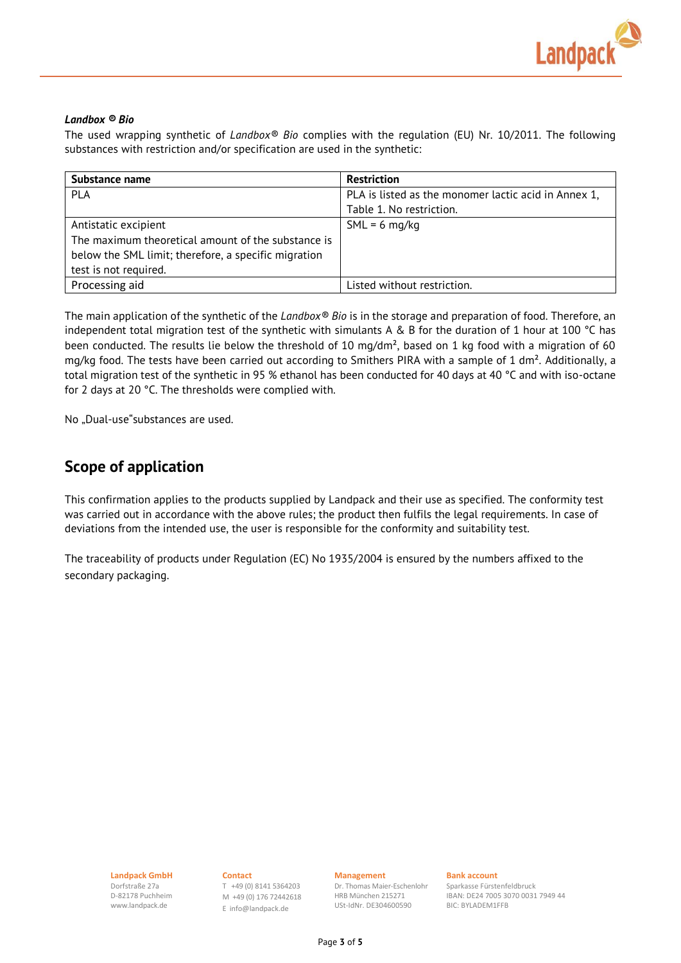

### *Landbox ® Bio*

The used wrapping synthetic of *Landbox® Bio* complies with the regulation (EU) Nr. 10/2011. The following substances with restriction and/or specification are used in the synthetic:

| Substance name                                       | <b>Restriction</b>                                   |
|------------------------------------------------------|------------------------------------------------------|
| PLA                                                  | PLA is listed as the monomer lactic acid in Annex 1, |
|                                                      | Table 1. No restriction.                             |
| Antistatic excipient                                 | $SML = 6$ mg/kg                                      |
| The maximum theoretical amount of the substance is   |                                                      |
| below the SML limit; therefore, a specific migration |                                                      |
| test is not required.                                |                                                      |
| Processing aid                                       | Listed without restriction.                          |

The main application of the synthetic of the *Landbox® Bio* is in the storage and preparation of food. Therefore, an independent total migration test of the synthetic with simulants A & B for the duration of 1 hour at 100 °C has been conducted. The results lie below the threshold of 10 mg/dm², based on 1 kg food with a migration of 60 mg/kg food. The tests have been carried out according to Smithers PIRA with a sample of 1 dm². Additionally, a total migration test of the synthetic in 95 % ethanol has been conducted for 40 days at 40 °C and with iso-octane for 2 days at 20 °C. The thresholds were complied with.

No "Dual-use"substances are used.

## **Scope of application**

This confirmation applies to the products supplied by Landpack and their use as specified. The conformity test was carried out in accordance with the above rules; the product then fulfils the legal requirements. In case of deviations from the intended use, the user is responsible for the conformity and suitability test.

The traceability of products under Regulation (EC) No 1935/2004 is ensured by the numbers affixed to the secondary packaging.

Dorfstraße 27a D-82178 Puchheim www.landpack.de

**Landpack GmbH Contact Management Bank account** T +49 (0) 8141 5364203 M +49 (0) 176 72442618 E [info@landpack.de](mailto:info@landpack.de)

Dr. Thomas Maier-Eschenlohr HRB München 215271 USt-IdNr. DE304600590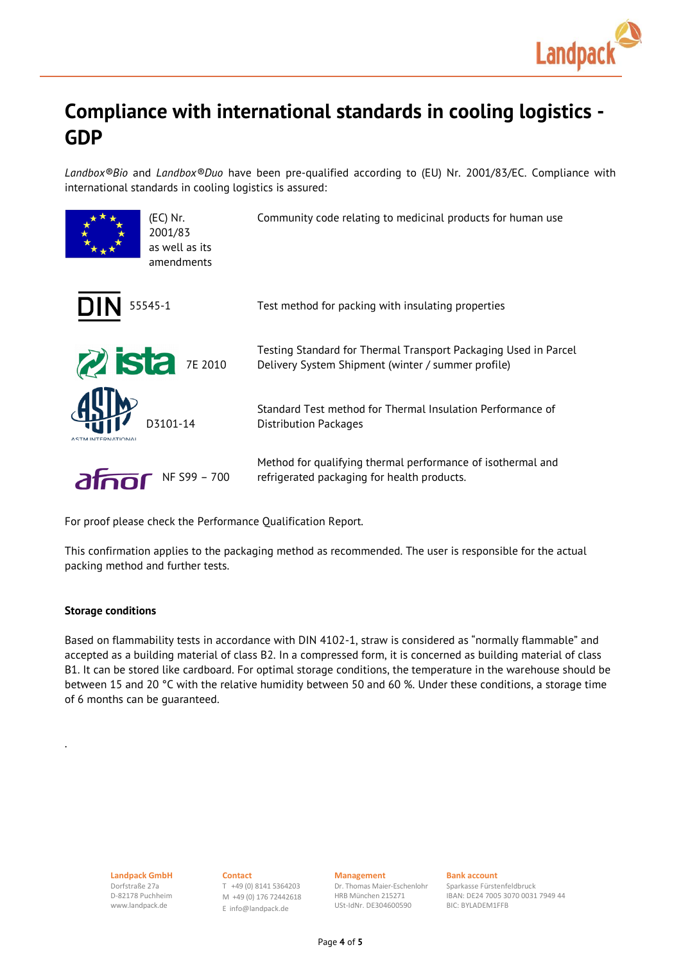

# **Compliance with international standards in cooling logistics - GDP**

*Landbox®Bio* and *Landbox®Duo* have been pre-qualified according to (EU) Nr. 2001/83/EC. Compliance with international standards in cooling logistics is assured:

| (EC) Nr.<br>2001/83<br>as well as its<br>amendments | Community code relating to medicinal products for human use                                                           |
|-----------------------------------------------------|-----------------------------------------------------------------------------------------------------------------------|
| <b>DIN</b><br>55545-1                               | Test method for packing with insulating properties                                                                    |
| $Z$ ista $7E 2010$                                  | Testing Standard for Thermal Transport Packaging Used in Parcel<br>Delivery System Shipment (winter / summer profile) |
| D3101-14<br><b>INTERNATIONAL</b>                    | Standard Test method for Thermal Insulation Performance of<br>Distribution Packages                                   |
| alno<br>NF S99 - 700                                | Method for qualifying thermal performance of isothermal and<br>refrigerated packaging for health products.            |

For proof please check the Performance Qualification Report.

This confirmation applies to the packaging method as recommended. The user is responsible for the actual packing method and further tests.

### **Storage conditions**

.

Based on flammability tests in accordance with DIN 4102-1, straw is considered as "normally flammable" and accepted as a building material of class B2. In a compressed form, it is concerned as building material of class B1. It can be stored like cardboard. For optimal storage conditions, the temperature in the warehouse should be between 15 and 20 °C with the relative humidity between 50 and 60 %. Under these conditions, a storage time of 6 months can be guaranteed.

Dorfstraße 27a D-82178 Puchheim www.landpack.de

**Landpack GmbH Contact Contact Management Bank account** T +49 (0) 8141 5364203 M +49 (0) 176 72442618 E [info@landpack.de](mailto:info@landpack.de)

Dr. Thomas Maier-Eschenlohr HRB München 215271 USt-IdNr. DE304600590